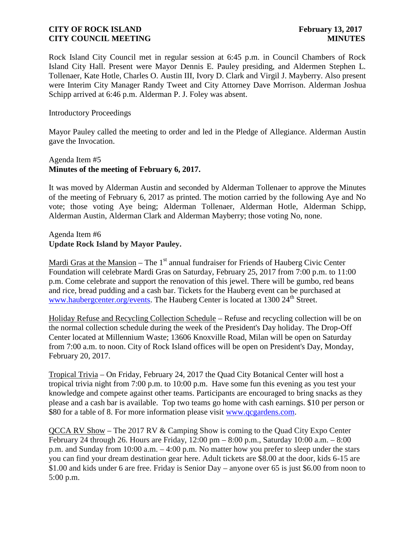## **CITY OF ROCK ISLAND February 13, 2017 CITY COUNCIL MEETING MINUTES**

Rock Island City Council met in regular session at 6:45 p.m. in Council Chambers of Rock Island City Hall. Present were Mayor Dennis E. Pauley presiding, and Aldermen Stephen L. Tollenaer, Kate Hotle, Charles O. Austin III, Ivory D. Clark and Virgil J. Mayberry. Also present were Interim City Manager Randy Tweet and City Attorney Dave Morrison. Alderman Joshua Schipp arrived at 6:46 p.m. Alderman P. J. Foley was absent.

Introductory Proceedings

Mayor Pauley called the meeting to order and led in the Pledge of Allegiance. Alderman Austin gave the Invocation.

## Agenda Item #5 **Minutes of the meeting of February 6, 2017.**

It was moved by Alderman Austin and seconded by Alderman Tollenaer to approve the Minutes of the meeting of February 6, 2017 as printed. The motion carried by the following Aye and No vote; those voting Aye being; Alderman Tollenaer, Alderman Hotle, Alderman Schipp, Alderman Austin, Alderman Clark and Alderman Mayberry; those voting No, none.

## Agenda Item #6 **Update Rock Island by Mayor Pauley.**

Mardi Gras at the Mansion – The  $1<sup>st</sup>$  annual fundraiser for Friends of Hauberg Civic Center Foundation will celebrate Mardi Gras on Saturday, February 25, 2017 from 7:00 p.m. to 11:00 p.m. Come celebrate and support the renovation of this jewel. There will be gumbo, red beans and rice, bread pudding and a cash bar. Tickets for the Hauberg event can be purchased at www.haubergcenter.org/events. The Hauberg Center is located at 1300 24<sup>th</sup> Street.

Holiday Refuse and Recycling Collection Schedule – Refuse and recycling collection will be on the normal collection schedule during the week of the President's Day holiday. The Drop-Off Center located at Millennium Waste; 13606 Knoxville Road, Milan will be open on Saturday from 7:00 a.m. to noon. City of Rock Island offices will be open on President's Day, Monday, February 20, 2017.

Tropical Trivia – On Friday, February 24, 2017 the Quad City Botanical Center will host a tropical trivia night from 7:00 p.m. to 10:00 p.m. Have some fun this evening as you test your knowledge and compete against other teams. Participants are encouraged to bring snacks as they please and a cash bar is available. Top two teams go home with cash earnings. \$10 per person or \$80 for a table of 8. For more information please visit www.qcgardens.com.

QCCA RV Show – The 2017 RV & Camping Show is coming to the Quad City Expo Center February 24 through 26. Hours are Friday, 12:00 pm – 8:00 p.m., Saturday 10:00 a.m. – 8:00 p.m. and Sunday from 10:00 a.m. – 4:00 p.m. No matter how you prefer to sleep under the stars you can find your dream destination gear here. Adult tickets are \$8.00 at the door, kids 6-15 are \$1.00 and kids under 6 are free. Friday is Senior Day – anyone over 65 is just \$6.00 from noon to 5:00 p.m.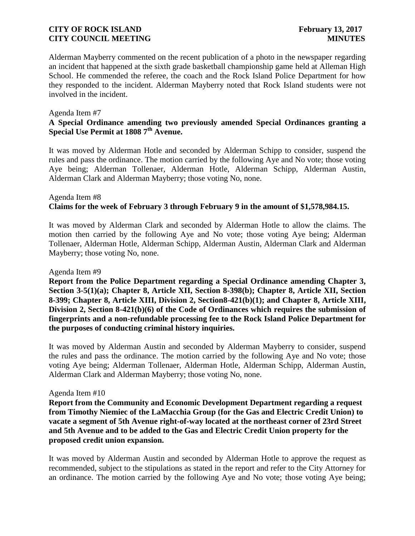## **CITY OF ROCK ISLAND February 13, 2017 CITY COUNCIL MEETING MINUTES**

Alderman Mayberry commented on the recent publication of a photo in the newspaper regarding an incident that happened at the sixth grade basketball championship game held at Alleman High School. He commended the referee, the coach and the Rock Island Police Department for how they responded to the incident. Alderman Mayberry noted that Rock Island students were not involved in the incident.

#### Agenda Item #7

## **A Special Ordinance amending two previously amended Special Ordinances granting a Special Use Permit at 1808 7th Avenue.**

It was moved by Alderman Hotle and seconded by Alderman Schipp to consider, suspend the rules and pass the ordinance. The motion carried by the following Aye and No vote; those voting Aye being; Alderman Tollenaer, Alderman Hotle, Alderman Schipp, Alderman Austin, Alderman Clark and Alderman Mayberry; those voting No, none.

## Agenda Item #8 **Claims for the week of February 3 through February 9 in the amount of \$1,578,984.15.**

It was moved by Alderman Clark and seconded by Alderman Hotle to allow the claims. The motion then carried by the following Aye and No vote; those voting Aye being; Alderman Tollenaer, Alderman Hotle, Alderman Schipp, Alderman Austin, Alderman Clark and Alderman Mayberry; those voting No, none.

#### Agenda Item #9

**Report from the Police Department regarding a Special Ordinance amending Chapter 3, Section 3-5(1)(a); Chapter 8, Article XII, Section 8-398(b); Chapter 8, Article XII, Section 8-399; Chapter 8, Article XIII, Division 2, Section8-421(b)(1); and Chapter 8, Article XIII, Division 2, Section 8-421(b)(6) of the Code of Ordinances which requires the submission of fingerprints and a non-refundable processing fee to the Rock Island Police Department for the purposes of conducting criminal history inquiries.**

It was moved by Alderman Austin and seconded by Alderman Mayberry to consider, suspend the rules and pass the ordinance. The motion carried by the following Aye and No vote; those voting Aye being; Alderman Tollenaer, Alderman Hotle, Alderman Schipp, Alderman Austin, Alderman Clark and Alderman Mayberry; those voting No, none.

#### Agenda Item #10

**Report from the Community and Economic Development Department regarding a request from Timothy Niemiec of the LaMacchia Group (for the Gas and Electric Credit Union) to vacate a segment of 5th Avenue right-of-way located at the northeast corner of 23rd Street and 5th Avenue and to be added to the Gas and Electric Credit Union property for the proposed credit union expansion.**

It was moved by Alderman Austin and seconded by Alderman Hotle to approve the request as recommended, subject to the stipulations as stated in the report and refer to the City Attorney for an ordinance. The motion carried by the following Aye and No vote; those voting Aye being;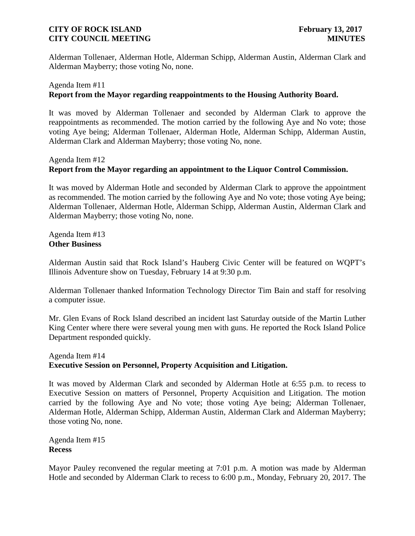## **CITY OF ROCK ISLAND February 13, 2017 CITY COUNCIL MEETING MINUTES**

Alderman Tollenaer, Alderman Hotle, Alderman Schipp, Alderman Austin, Alderman Clark and Alderman Mayberry; those voting No, none.

# Agenda Item #11 **Report from the Mayor regarding reappointments to the Housing Authority Board.**

It was moved by Alderman Tollenaer and seconded by Alderman Clark to approve the reappointments as recommended. The motion carried by the following Aye and No vote; those voting Aye being; Alderman Tollenaer, Alderman Hotle, Alderman Schipp, Alderman Austin, Alderman Clark and Alderman Mayberry; those voting No, none.

# Agenda Item #12 **Report from the Mayor regarding an appointment to the Liquor Control Commission.**

It was moved by Alderman Hotle and seconded by Alderman Clark to approve the appointment as recommended. The motion carried by the following Aye and No vote; those voting Aye being; Alderman Tollenaer, Alderman Hotle, Alderman Schipp, Alderman Austin, Alderman Clark and Alderman Mayberry; those voting No, none.

Agenda Item #13 **Other Business**

Alderman Austin said that Rock Island's Hauberg Civic Center will be featured on WQPT's Illinois Adventure show on Tuesday, February 14 at 9:30 p.m.

Alderman Tollenaer thanked Information Technology Director Tim Bain and staff for resolving a computer issue.

Mr. Glen Evans of Rock Island described an incident last Saturday outside of the Martin Luther King Center where there were several young men with guns. He reported the Rock Island Police Department responded quickly.

## Agenda Item #14 **Executive Session on Personnel, Property Acquisition and Litigation.**

It was moved by Alderman Clark and seconded by Alderman Hotle at 6:55 p.m. to recess to Executive Session on matters of Personnel, Property Acquisition and Litigation. The motion carried by the following Aye and No vote; those voting Aye being; Alderman Tollenaer, Alderman Hotle, Alderman Schipp, Alderman Austin, Alderman Clark and Alderman Mayberry; those voting No, none.

Agenda Item #15 **Recess**

Mayor Pauley reconvened the regular meeting at 7:01 p.m. A motion was made by Alderman Hotle and seconded by Alderman Clark to recess to 6:00 p.m., Monday, February 20, 2017. The